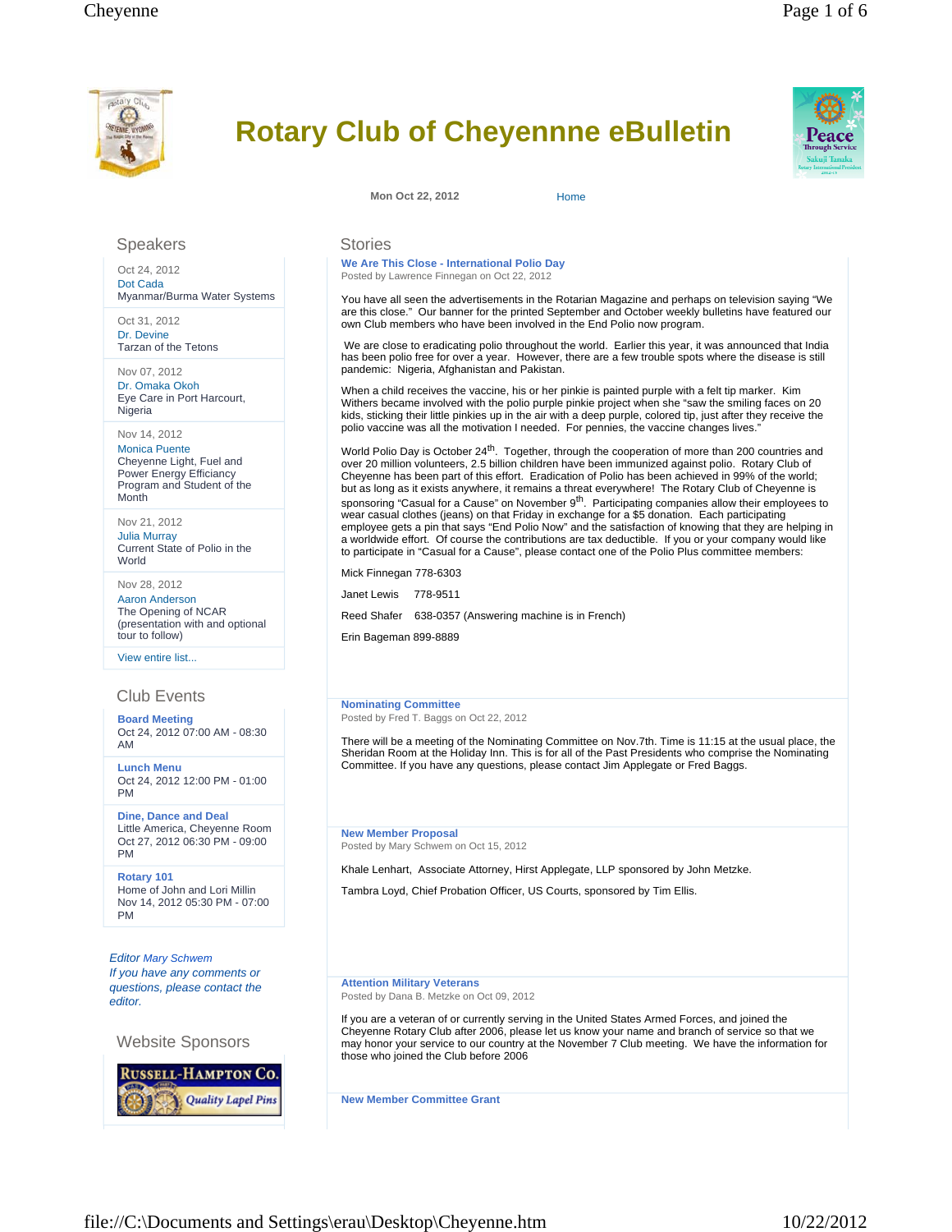

# **Rotary Club of Cheyennne eBulletin**



**Mon Oct 22, 2012** Home

# Speakers

Oct 24, 2012 Dot Cada Myanmar/Burma Water Systems

Oct 31, 2012 Dr. Devine Tarzan of the Tetons

Nov 07, 2012 Dr. Omaka Okoh Eye Care in Port Harcourt, **Nigeria** 

## Nov 14, 2012

Monica Puente Cheyenne Light, Fuel and Power Energy Efficiancy Program and Student of the Month

Nov 21, 2012 Julia Murray Current State of Polio in the World

Nov 28, 2012 Aaron Anderson The Opening of NCAR (presentation with and optional tour to follow)

View entire list...

# Club Events

**Board Meeting**  Oct 24, 2012 07:00 AM - 08:30 AM

**Lunch Menu**  Oct 24, 2012 12:00 PM - 01:00 PM

**Dine, Dance and Deal**  Little America, Cheyenne Room Oct 27, 2012 06:30 PM - 09:00 PM

**Rotary 101**  Home of John and Lori Millin Nov 14, 2012 05:30 PM - 07:00 PM

*Editor Mary Schwem If you have any comments or questions, please contact the editor.* 

Website Sponsors

**RUSSELL-HAMPTON CO.** 

**Quality Lapel Pins** 

**Stories** 

**We Are This Close - International Polio Day** Posted by Lawrence Finnegan on Oct 22, 2012

You have all seen the advertisements in the Rotarian Magazine and perhaps on television saying "We are this close." Our banner for the printed September and October weekly bulletins have featured our own Club members who have been involved in the End Polio now program.

 We are close to eradicating polio throughout the world. Earlier this year, it was announced that India has been polio free for over a year. However, there are a few trouble spots where the disease is still pandemic: Nigeria, Afghanistan and Pakistan.

When a child receives the vaccine, his or her pinkie is painted purple with a felt tip marker. Kim Withers became involved with the polio purple pinkie project when she "saw the smiling faces on 20 kids, sticking their little pinkies up in the air with a deep purple, colored tip, just after they receive the polio vaccine was all the motivation I needed. For pennies, the vaccine changes lives.

World Polio Day is October 24<sup>th</sup>. Together, through the cooperation of more than 200 countries and over 20 million volunteers, 2.5 billion children have been immunized against polio. Rotary Club of Cheyenne has been part of this effort. Eradication of Polio has been achieved in 99% of the world; but as long as it exists anywhere, it remains a threat everywhere! The Rotary Club of Cheyenne is sponsoring "Casual for a Cause" on November 9<sup>th</sup>. Participating companies allow their employees to wear casual clothes (jeans) on that Friday in exchange for a \$5 donation. Each participating employee gets a pin that says "End Polio Now" and the satisfaction of knowing that they are helping in a worldwide effort. Of course the contributions are tax deductible. If you or your company would like to participate in "Casual for a Cause", please contact one of the Polio Plus committee members:

Mick Finnegan 778-6303

Janet Lewis 778-9511

Reed Shafer 638-0357 (Answering machine is in French)

Erin Bageman 899-8889

**Nominating Committee**  Posted by Fred T. Baggs on Oct 22, 2012

There will be a meeting of the Nominating Committee on Nov.7th. Time is 11:15 at the usual place, the Sheridan Room at the Holiday Inn. This is for all of the Past Presidents who comprise the Nominating Committee. If you have any questions, please contact Jim Applegate or Fred Baggs.

**New Member Proposal** Posted by Mary Schwem on Oct 15, 2012

Khale Lenhart, Associate Attorney, Hirst Applegate, LLP sponsored by John Metzke.

Tambra Loyd, Chief Probation Officer, US Courts, sponsored by Tim Ellis.

**Attention Military Veterans** Posted by Dana B. Metzke on Oct 09, 2012

If you are a veteran of or currently serving in the United States Armed Forces, and joined the Cheyenne Rotary Club after 2006, please let us know your name and branch of service so that we may honor your service to our country at the November 7 Club meeting. We have the information for those who joined the Club before 2006

**New Member Committee Grant**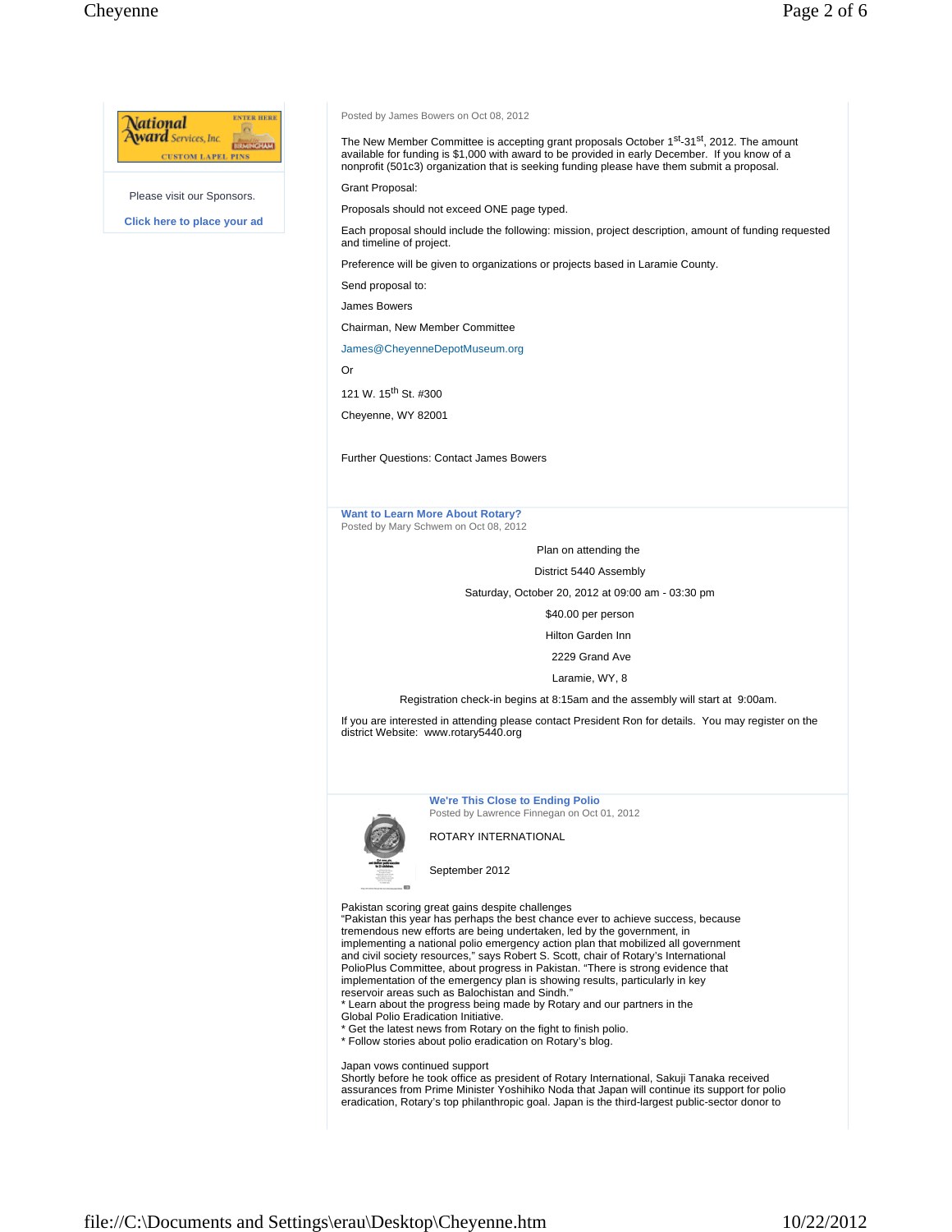

Please visit our Sponsors.

**Click here to place your ad** 

### Posted by James Bowers on Oct 08, 2012

The New Member Committee is accepting grant proposals October 1<sup>st</sup>-31<sup>st</sup>, 2012. The amount available for funding is \$1,000 with award to be provided in early December. If you know of a nonprofit (501c3) organization that is seeking funding please have them submit a proposal.

Grant Proposal:

Proposals should not exceed ONE page typed.

Each proposal should include the following: mission, project description, amount of funding requested and timeline of project.

Preference will be given to organizations or projects based in Laramie County.

Send proposal to:

James Bowers

Chairman, New Member Committee

### James@CheyenneDepotMuseum.org

Or

121 W. 15<sup>th</sup> St. #300

Cheyenne, WY 82001

Further Questions: Contact James Bowers

### **Want to Learn More About Rotary?** Posted by Mary Schwem on Oct 08, 2012

Plan on attending the

District 5440 Assembly

Saturday, October 20, 2012 at 09:00 am - 03:30 pm

\$40.00 per person

Hilton Garden Inn

2229 Grand Ave

Laramie, WY, 8

Registration check-in begins at 8:15am and the assembly will start at 9:00am.

If you are interested in attending please contact President Ron for details. You may register on the district Website: www.rotary5440.org



**We're This Close to Ending Polio**

Posted by Lawrence Finnegan on Oct 01, 2012

ROTARY INTERNATIONAL

September 2012

Pakistan scoring great gains despite challenges

"Pakistan this year has perhaps the best chance ever to achieve success, because tremendous new efforts are being undertaken, led by the government, in implementing a national polio emergency action plan that mobilized all government and civil society resources," says Robert S. Scott, chair of Rotary's International PolioPlus Committee, about progress in Pakistan. "There is strong evidence that implementation of the emergency plan is showing results, particularly in key reservoir areas such as Balochistan and Sindh."

\* Learn about the progress being made by Rotary and our partners in the

Global Polio Eradication Initiative.

\* Get the latest news from Rotary on the fight to finish polio. \* Follow stories about polio eradication on Rotary's blog.

Japan vows continued support

Shortly before he took office as president of Rotary International, Sakuji Tanaka received assurances from Prime Minister Yoshihiko Noda that Japan will continue its support for polio eradication, Rotary's top philanthropic goal. Japan is the third-largest public-sector donor to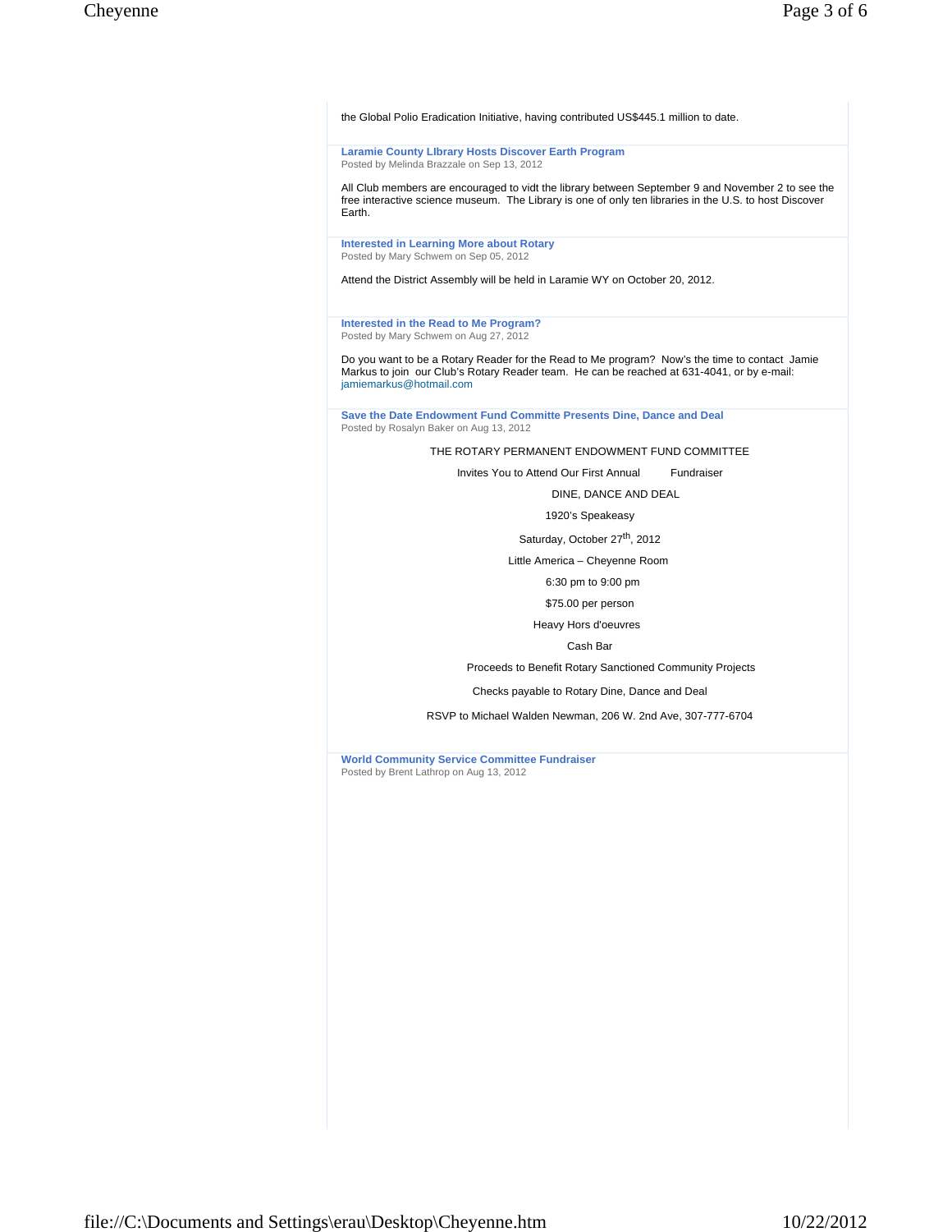the Global Polio Eradication Initiative, having contributed US\$445.1 million to date.

**Laramie County LIbrary Hosts Discover Earth Program** Posted by Melinda Brazzale on Sep 13, 2012

All Club members are encouraged to vidt the library between September 9 and November 2 to see the free interactive science museum. The Library is one of only ten libraries in the U.S. to host Discover Earth.

**Interested in Learning More about Rotary**  Posted by Mary Schwem on Sep 05, 2012

Attend the District Assembly will be held in Laramie WY on October 20, 2012.

**Interested in the Read to Me Program?** Posted by Mary Schwem on Aug 27, 2012

Do you want to be a Rotary Reader for the Read to Me program? Now's the time to contact Jamie Markus to join our Club's Rotary Reader team. He can be reached at 631-4041, or by e-mail: jamiemarkus@hotmail.com

**Save the Date Endowment Fund Committe Presents Dine, Dance and Deal**  Posted by Rosalyn Baker on Aug 13, 2012

THE ROTARY PERMANENT ENDOWMENT FUND COMMITTEE

Invites You to Attend Our First Annual Fundraiser

DINE, DANCE AND DEAL

1920's Speakeasy

Saturday, October 27<sup>th</sup>, 2012

Little America – Cheyenne Room

6:30 pm to 9:00 pm

\$75.00 per person

Heavy Hors d'oeuvres

Cash Bar

Proceeds to Benefit Rotary Sanctioned Community Projects

Checks payable to Rotary Dine, Dance and Deal

RSVP to Michael Walden Newman, 206 W. 2nd Ave, 307-777-6704

**World Community Service Committee Fundraiser** Posted by Brent Lathrop on Aug 13, 2012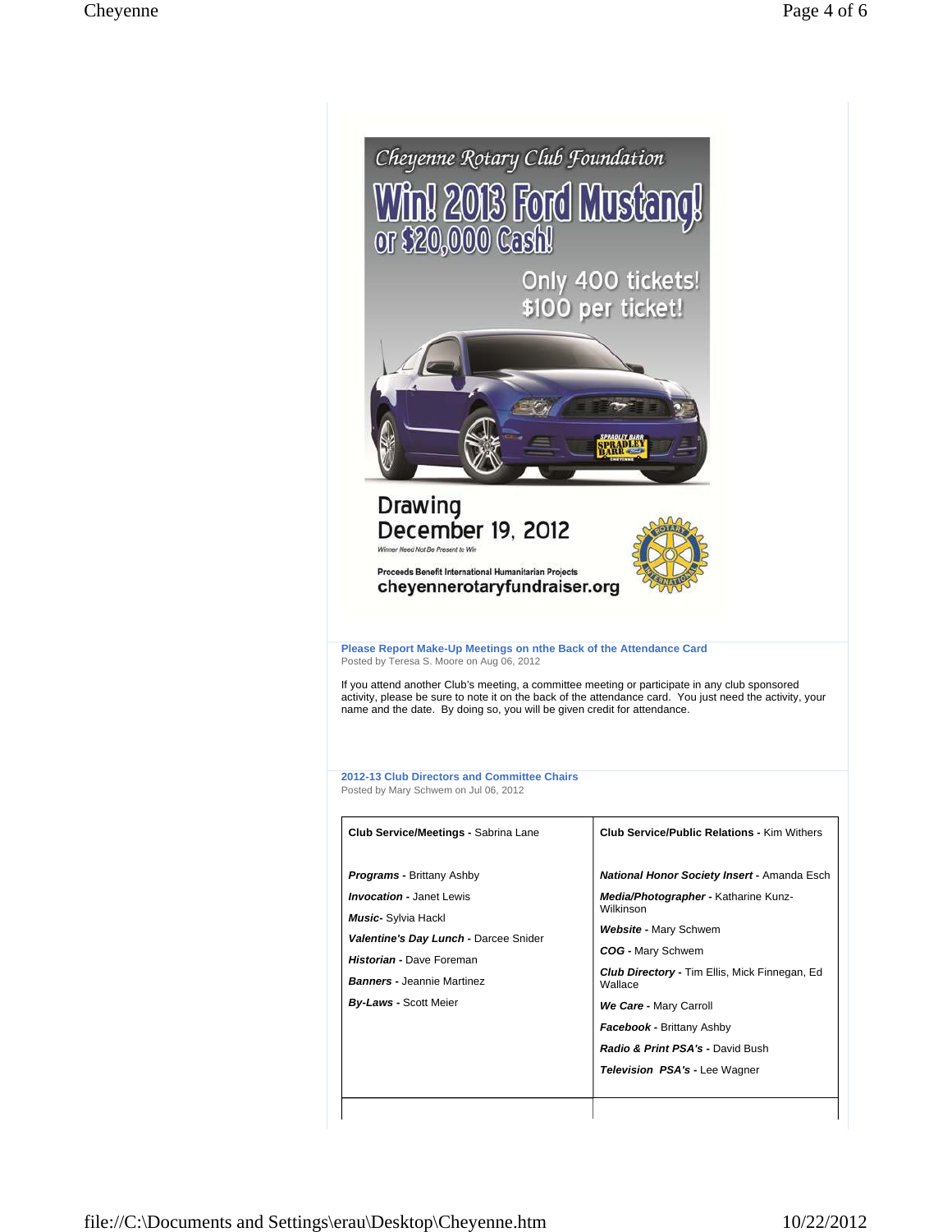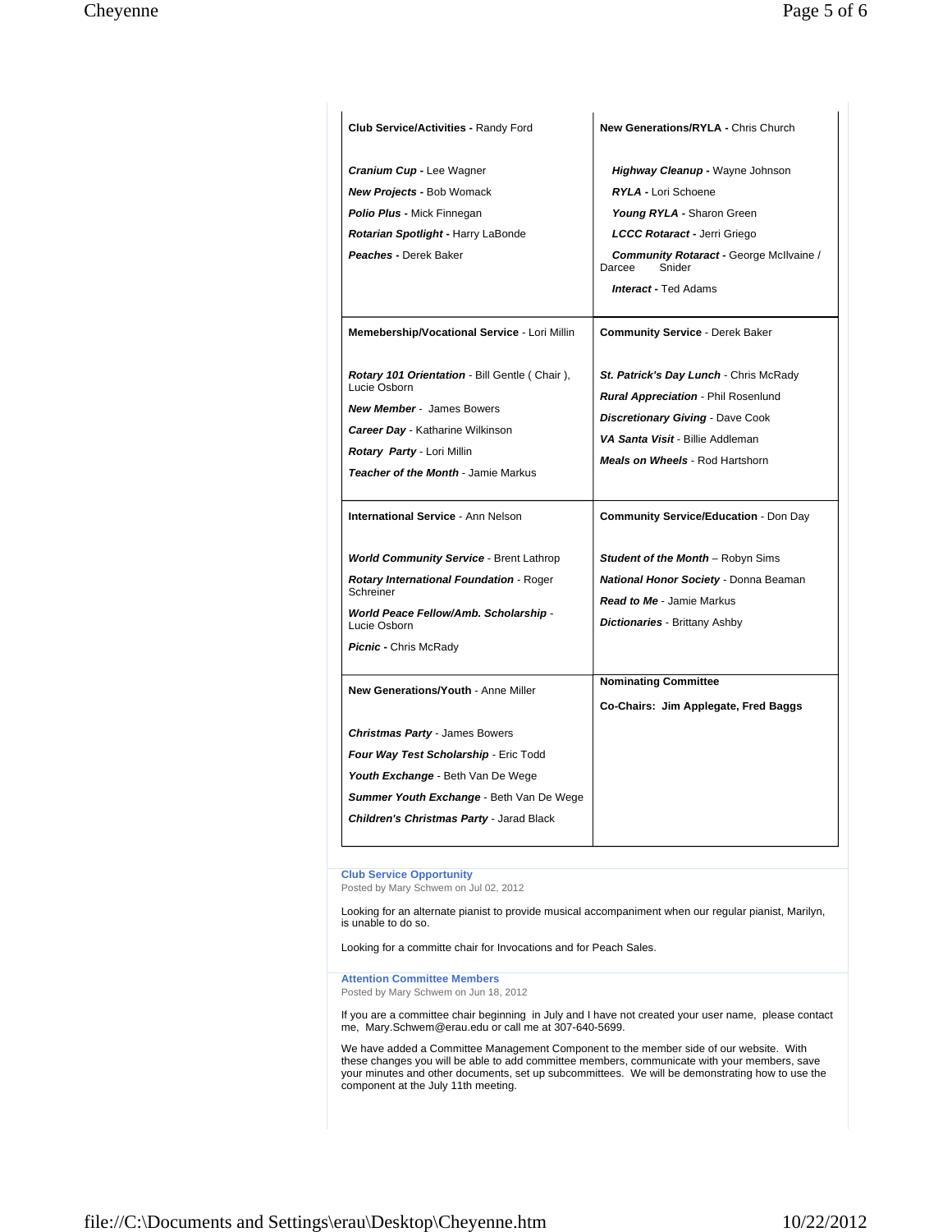| <b>Club Service/Activities - Randy Ford</b>                                                                                                                                                                        | New Generations/RYLA - Chris Church                                                                                                                                                                           |
|--------------------------------------------------------------------------------------------------------------------------------------------------------------------------------------------------------------------|---------------------------------------------------------------------------------------------------------------------------------------------------------------------------------------------------------------|
| Cranium Cup - Lee Wagner<br><b>New Projects - Bob Womack</b>                                                                                                                                                       | Highway Cleanup - Wayne Johnson<br><b>RYLA - Lori Schoene</b>                                                                                                                                                 |
| <b>Polio Plus - Mick Finnegan</b><br>Rotarian Spotlight - Harry LaBonde                                                                                                                                            | Young RYLA - Sharon Green<br>LCCC Rotaract - Jerri Griego                                                                                                                                                     |
| Peaches - Derek Baker                                                                                                                                                                                              | Community Rotaract - George McIlvaine /<br>Darcee<br>Snider<br><b>Interact - Ted Adams</b>                                                                                                                    |
| Memebership/Vocational Service - Lori Millin                                                                                                                                                                       | <b>Community Service - Derek Baker</b>                                                                                                                                                                        |
| Rotary 101 Orientation - Bill Gentle (Chair),<br>Lucie Osborn<br><b>New Member - James Bowers</b><br><b>Career Day - Katharine Wilkinson</b><br>Rotary Party - Lori Millin<br>Teacher of the Month - Jamie Markus  | St. Patrick's Day Lunch - Chris McRady<br><b>Rural Appreciation - Phil Rosenlund</b><br><b>Discretionary Giving - Dave Cook</b><br>VA Santa Visit - Billie Addleman<br><b>Meals on Wheels - Rod Hartshorn</b> |
| <b>International Service - Ann Nelson</b>                                                                                                                                                                          | <b>Community Service/Education - Don Day</b>                                                                                                                                                                  |
| <b>World Community Service - Brent Lathrop</b><br>Rotary International Foundation - Roger<br>Schreiner<br>World Peace Fellow/Amb. Scholarship -<br>Lucie Osborn<br><b>Picnic - Chris McRady</b>                    | <b>Student of the Month</b> – Robyn Sims<br>National Honor Society - Donna Beaman<br><b>Read to Me - Jamie Markus</b><br><b>Dictionaries</b> - Brittany Ashby                                                 |
| New Generations/Youth - Anne Miller                                                                                                                                                                                | <b>Nominating Committee</b><br>Co-Chairs: Jim Applegate, Fred Baggs                                                                                                                                           |
| <b>Christmas Party - James Bowers</b><br>Four Way Test Scholarship - Eric Todd<br>Youth Exchange - Beth Van De Wege<br>Summer Youth Exchange - Beth Van De Wege<br><b>Children's Christmas Party - Jarad Black</b> |                                                                                                                                                                                                               |

**Club Service Opportunity**

Posted by Mary Schwem on Jul 02, 2012

Looking for an alternate pianist to provide musical accompaniment when our regular pianist, Marilyn, is unable to do so.

Looking for a committe chair for Invocations and for Peach Sales.

**Attention Committee Members** Posted by Mary Schwem on Jun 18, 2012

If you are a committee chair beginning in July and I have not created your user name, please contact me, Mary.Schwem@erau.edu or call me at 307-640-5699.

We have added a Committee Management Component to the member side of our website. With<br>these changes you will be able to add committee members, communicate with your members, save<br>your minutes and other documents, set up s component at the July 11th meeting.